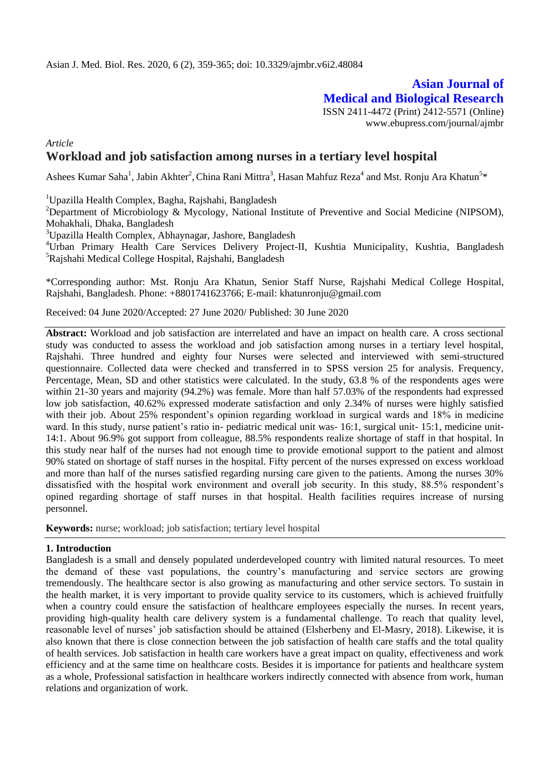# **Asian Journal of Medical and Biological Research**

ISSN 2411-4472 (Print) 2412-5571 (Online) www.ebupress.com/journal/ajmbr

# *Article* **Workload and job satisfaction among nurses in a tertiary level hospital**

Ashees Kumar Saha<sup>1</sup>, Jabin Akhter<sup>2</sup>, China Rani Mittra<sup>3</sup>, Hasan Mahfuz Reza<sup>4</sup> and Mst. Ronju Ara Khatun<sup>5</sup>\*

<sup>1</sup>Upazilla Health Complex, Bagha, Rajshahi, Bangladesh

<sup>2</sup>Department of Microbiology & Mycology, National Institute of Preventive and Social Medicine (NIPSOM), Mohakhali, Dhaka, Bangladesh

<sup>3</sup>Upazilla Health Complex, Abhaynagar, Jashore, Bangladesh

<sup>4</sup>Urban Primary Health Care Services Delivery Project-II, Kushtia Municipality, Kushtia, Bangladesh <sup>5</sup>Rajshahi Medical College Hospital, Rajshahi, Bangladesh

\*Corresponding author: Mst. Ronju Ara Khatun, Senior Staff Nurse, Rajshahi Medical College Hospital, Rajshahi, Bangladesh. Phone: +8801741623766; E-mail: khatunronju@gmail.com

Received: 04 June 2020/Accepted: 27 June 2020/ Published: 30 June 2020

**Abstract:** Workload and job satisfaction are interrelated and have an impact on health care. A cross sectional study was conducted to assess the workload and job satisfaction among nurses in a tertiary level hospital, Rajshahi. Three hundred and eighty four Nurses were selected and interviewed with semi-structured questionnaire. Collected data were checked and transferred in to SPSS version 25 for analysis. Frequency, Percentage, Mean, SD and other statistics were calculated. In the study, 63.8 % of the respondents ages were within 21-30 years and majority (94.2%) was female. More than half 57.03% of the respondents had expressed low job satisfaction, 40.62% expressed moderate satisfaction and only 2.34% of nurses were highly satisfied with their job. About 25% respondent's opinion regarding workload in surgical wards and 18% in medicine ward. In this study, nurse patient's ratio in- pediatric medical unit was- 16:1, surgical unit- 15:1, medicine unit-14:1. About 96.9% got support from colleague, 88.5% respondents realize shortage of staff in that hospital. In this study near half of the nurses had not enough time to provide emotional support to the patient and almost 90% stated on shortage of staff nurses in the hospital. Fifty percent of the nurses expressed on excess workload and more than half of the nurses satisfied regarding nursing care given to the patients. Among the nurses 30% dissatisfied with the hospital work environment and overall job security. In this study, 88.5% respondent's opined regarding shortage of staff nurses in that hospital. Health facilities requires increase of nursing personnel.

**Keywords:** nurse; workload; job satisfaction; tertiary level hospital

#### **1. Introduction**

Bangladesh is a small and densely populated underdeveloped country with limited natural resources. To meet the demand of these vast populations, the country's manufacturing and service sectors are growing tremendously. The healthcare sector is also growing as manufacturing and other service sectors. To sustain in the health market, it is very important to provide quality service to its customers, which is achieved fruitfully when a country could ensure the satisfaction of healthcare employees especially the nurses. In recent years, providing high-quality health care delivery system is a fundamental challenge. To reach that quality level, reasonable level of nurses' job satisfaction should be attained (Elsherbeny and El-Masry, 2018). Likewise, it is also known that there is close connection between the job satisfaction of health care staffs and the total quality of health services. Job satisfaction in health care workers have a great impact on quality, effectiveness and work efficiency and at the same time on healthcare costs. Besides it is importance for patients and healthcare system as a whole, Professional satisfaction in healthcare workers indirectly connected with absence from work, human relations and organization of work.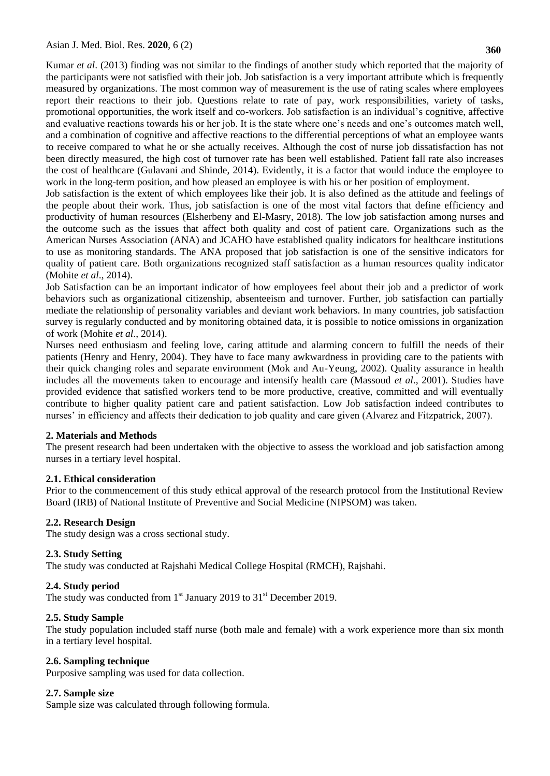Kumar *et al*. (2013) finding was not similar to the findings of another study which reported that the majority of the participants were not satisfied with their job. Job satisfaction is a very important attribute which is frequently measured by organizations. The most common way of measurement is the use of rating scales where employees report their reactions to their job. Questions relate to rate of pay, work responsibilities, variety of tasks, promotional opportunities, the work itself and co-workers. Job satisfaction is an individual's cognitive, affective and evaluative reactions towards his or her job. It is the state where one's needs and one's outcomes match well, and a combination of cognitive and affective reactions to the differential perceptions of what an employee wants to receive compared to what he or she actually receives. Although the cost of nurse job dissatisfaction has not been directly measured, the high cost of turnover rate has been well established. Patient fall rate also increases the cost of healthcare (Gulavani and Shinde, 2014). Evidently, it is a factor that would induce the employee to work in the long-term position, and how pleased an employee is with his or her position of employment.

Job satisfaction is the extent of which employees like their job. It is also defined as the attitude and feelings of the people about their work. Thus, job satisfaction is one of the most vital factors that define efficiency and productivity of human resources (Elsherbeny and El-Masry, 2018). The low job satisfaction among nurses and the outcome such as the issues that affect both quality and cost of patient care. Organizations such as the American Nurses Association (ANA) and JCAHO have established quality indicators for healthcare institutions to use as monitoring standards. The ANA proposed that job satisfaction is one of the sensitive indicators for quality of patient care. Both organizations recognized staff satisfaction as a human resources quality indicator (Mohite *et al*., 2014).

Job Satisfaction can be an important indicator of how employees feel about their job and a predictor of work behaviors such as organizational citizenship, absenteeism and turnover. Further, job satisfaction can partially mediate the relationship of personality variables and deviant work behaviors. In many countries, job satisfaction survey is regularly conducted and by monitoring obtained data, it is possible to notice omissions in organization of work (Mohite *et al*., 2014).

Nurses need enthusiasm and feeling love, caring attitude and alarming concern to fulfill the needs of their patients (Henry and Henry, 2004). They have to face many awkwardness in providing care to the patients with their quick changing roles and separate environment (Mok and Au-Yeung, 2002). Quality assurance in health includes all the movements taken to encourage and intensify health care (Massoud *et al*., 2001). Studies have provided evidence that satisfied workers tend to be more productive, creative, committed and will eventually contribute to higher quality patient care and patient satisfaction. Low Job satisfaction indeed contributes to nurses' in efficiency and affects their dedication to job quality and care given (Alvarez and Fitzpatrick, 2007).

# **2. Materials and Methods**

The present research had been undertaken with the objective to assess the workload and job satisfaction among nurses in a tertiary level hospital.

#### **2.1. Ethical consideration**

Prior to the commencement of this study ethical approval of the research protocol from the Institutional Review Board (IRB) of National Institute of Preventive and Social Medicine (NIPSOM) was taken.

# **2.2. Research Design**

The study design was a cross sectional study.

#### **2.3. Study Setting**

The study was conducted at Rajshahi Medical College Hospital (RMCH), Rajshahi.

#### **2.4. Study period**

The study was conducted from  $1<sup>st</sup>$  January 2019 to 31<sup>st</sup> December 2019.

#### **2.5. Study Sample**

The study population included staff nurse (both male and female) with a work experience more than six month in a tertiary level hospital.

#### **2.6. Sampling technique**

Purposive sampling was used for data collection.

#### **2.7. Sample size**

Sample size was calculated through following formula.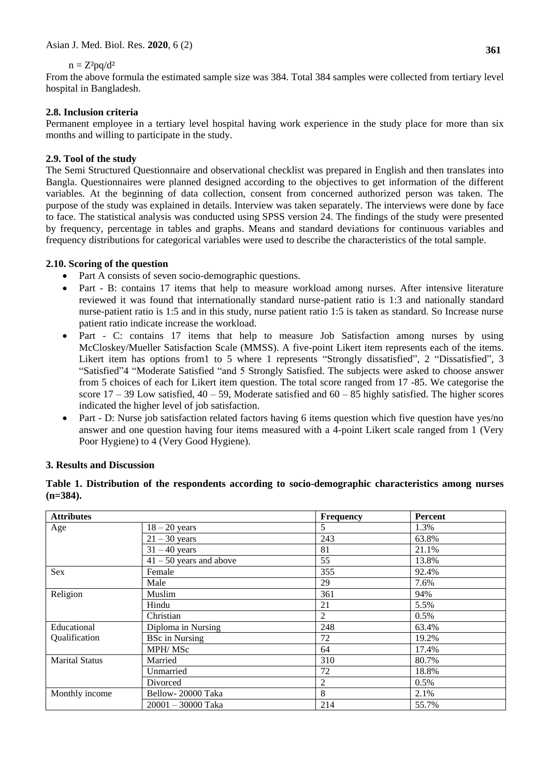### $n = Z^2$ pq/d<sup>2</sup>

From the above formula the estimated sample size was 384. Total 384 samples were collected from tertiary level hospital in Bangladesh.

### **2.8. Inclusion criteria**

Permanent employee in a tertiary level hospital having work experience in the study place for more than six months and willing to participate in the study.

#### **2.9. Tool of the study**

The Semi Structured Questionnaire and observational checklist was prepared in English and then translates into Bangla. Questionnaires were planned designed according to the objectives to get information of the different variables. At the beginning of data collection, consent from concerned authorized person was taken. The purpose of the study was explained in details. Interview was taken separately. The interviews were done by face to face. The statistical analysis was conducted using SPSS version 24. The findings of the study were presented by frequency, percentage in tables and graphs. Means and standard deviations for continuous variables and frequency distributions for categorical variables were used to describe the characteristics of the total sample.

### **2.10. Scoring of the question**

- Part A consists of seven socio-demographic questions.
- Part B: contains 17 items that help to measure workload among nurses. After intensive literature reviewed it was found that internationally standard nurse-patient ratio is 1:3 and nationally standard nurse-patient ratio is 1:5 and in this study, nurse patient ratio 1:5 is taken as standard. So Increase nurse patient ratio indicate increase the workload.
- Part C: contains 17 items that help to measure Job Satisfaction among nurses by using McCloskey/Mueller Satisfaction Scale (MMSS). A five-point Likert item represents each of the items. Likert item has options from1 to 5 where 1 represents "Strongly dissatisfied", 2 "Dissatisfied", 3 "Satisfied"4 "Moderate Satisfied "and 5 Strongly Satisfied. The subjects were asked to choose answer from 5 choices of each for Likert item question. The total score ranged from 17 -85. We categorise the score  $17 - 39$  Low satisfied,  $40 - 59$ , Moderate satisfied and  $60 - 85$  highly satisfied. The higher scores indicated the higher level of job satisfaction.
- Part D: Nurse job satisfaction related factors having 6 items question which five question have yes/no answer and one question having four items measured with a 4-point Likert scale ranged from 1 (Very Poor Hygiene) to 4 (Very Good Hygiene).

# **3. Results and Discussion**

| <b>Attributes</b>     |                           | <b>Frequency</b> | Percent |
|-----------------------|---------------------------|------------------|---------|
| Age                   | $18 - 20$ years           | 5                | 1.3%    |
|                       | $21 - 30$ years           | 243              | 63.8%   |
|                       | $31 - 40$ years           | 81               | 21.1%   |
|                       | $41 - 50$ years and above | 55               | 13.8%   |
| Sex                   | Female                    | 355              | 92.4%   |
|                       | Male                      | 29               | 7.6%    |
| Religion              | Muslim                    | 361              | 94%     |
|                       | Hindu                     | 21               | 5.5%    |
|                       | Christian                 | 2                | 0.5%    |
| Educational           | Diploma in Nursing        | 248              | 63.4%   |
| Qualification         | <b>BSc</b> in Nursing     | 72               | 19.2%   |
|                       | MPH/MSc                   | 64               | 17.4%   |
| <b>Marital Status</b> | Married                   | 310              | 80.7%   |
|                       | Unmarried                 | 72               | 18.8%   |
|                       | Divorced                  | 2                | 0.5%    |
| Monthly income        | Bellow-20000 Taka         | 8                | 2.1%    |
|                       | $20001 - 30000$ Taka      | 214              | 55.7%   |

### **Table 1. Distribution of the respondents according to socio-demographic characteristics among nurses (n=384).**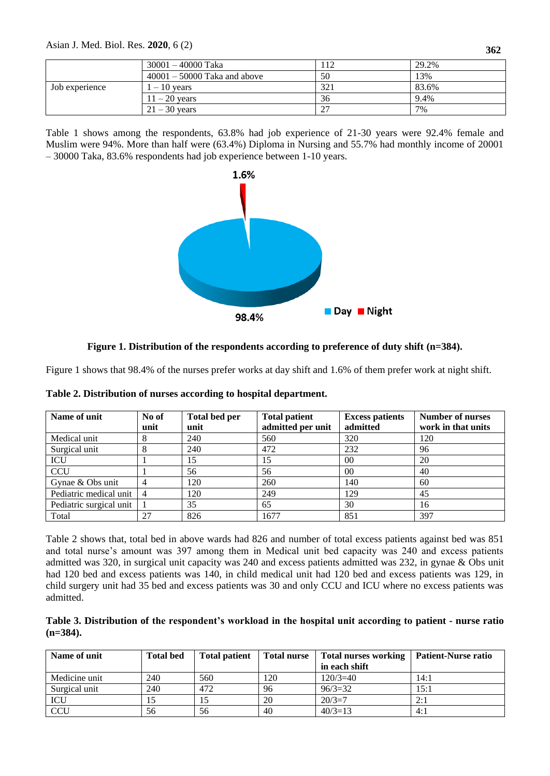|                | 30001 – 40000 Taka             | .12 | 29.2% |
|----------------|--------------------------------|-----|-------|
|                | $40001 - 50000$ Taka and above | 50  | 13%   |
| Job experience | $-10$ vears                    | 321 | 83.6% |
|                | $11 - 20$ vears                | 36  | 9.4%  |
|                | $21 - 30$ years                | ∼   | 7%    |

Table 1 shows among the respondents, 63.8% had job experience of 21-30 years were 92.4% female and Muslim were 94%. More than half were (63.4%) Diploma in Nursing and 55.7% had monthly income of 20001 – 30000 Taka, 83.6% respondents had job experience between 1-10 years.



### **Figure 1. Distribution of the respondents according to preference of duty shift (n=384).**

Figure 1 shows that 98.4% of the nurses prefer works at day shift and 1.6% of them prefer work at night shift.

| Name of unit            | No of | <b>Total bed per</b> | <b>Total patient</b> | <b>Excess patients</b> | <b>Number of nurses</b> |
|-------------------------|-------|----------------------|----------------------|------------------------|-------------------------|
|                         | unit  | unit                 | admitted per unit    | admitted               | work in that units      |
| Medical unit            | 8     | 240                  | 560                  | 320                    | 120                     |
| Surgical unit           | 8     | 240                  | 472                  | 232                    | 96                      |
| ICU                     |       | 15                   | 15                   | 00                     | 20                      |
| <b>CCU</b>              |       | 56                   | 56                   | 00                     | 40                      |
| Gynae & Obs unit        |       | 120                  | 260                  | 140                    | 60                      |
| Pediatric medical unit  | -4    | 120                  | 249                  | 129                    | 45                      |
| Pediatric surgical unit |       | 35                   | 65                   | 30                     | 16                      |
| Total                   | 27    | 826                  | 1677                 | 851                    | 397                     |

**Table 2. Distribution of nurses according to hospital department.**

Table 2 shows that, total bed in above wards had 826 and number of total excess patients against bed was 851 and total nurse's amount was 397 among them in Medical unit bed capacity was 240 and excess patients admitted was 320, in surgical unit capacity was 240 and excess patients admitted was 232, in gynae & Obs unit had 120 bed and excess patients was 140, in child medical unit had 120 bed and excess patients was 129, in child surgery unit had 35 bed and excess patients was 30 and only CCU and ICU where no excess patients was admitted.

**Table 3. Distribution of the respondent's workload in the hospital unit according to patient - nurse ratio (n=384).**

| Name of unit  | <b>Total bed</b> | <b>Total patient</b> | Total nurse | <b>Total nurses working</b><br>in each shift | Patient-Nurse ratio |
|---------------|------------------|----------------------|-------------|----------------------------------------------|---------------------|
| Medicine unit | 240              | 560                  | 120         | $120/3=40$                                   | 14:1                |
| Surgical unit | 240              | 472                  | 96          | $96/3=32$                                    | 15:1                |
| <b>ICU</b>    |                  | 15                   | 20          | $20/3=7$                                     | 2:1                 |
| <b>CCU</b>    | 56               | 56                   | 40          | $40/3=13$                                    | 4:1                 |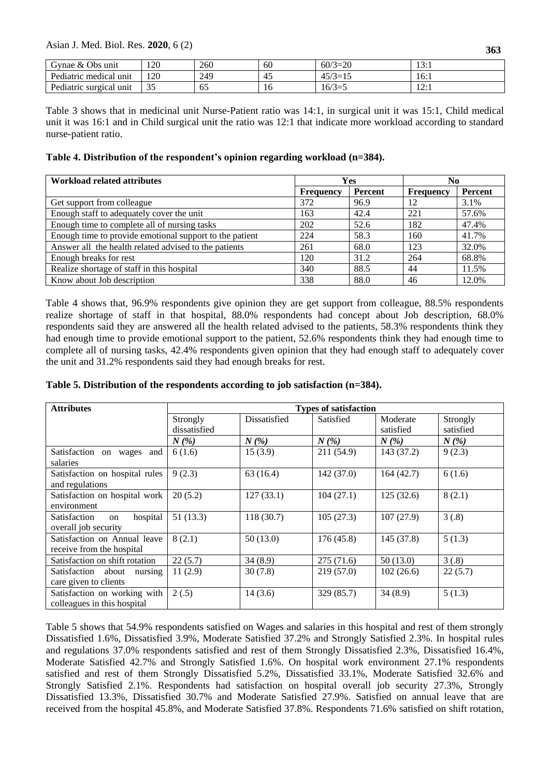| Gynae & Obs unit        | 120 | 260 | 60 | $60/3=20$  | 12.1<br>19.1                     |
|-------------------------|-----|-----|----|------------|----------------------------------|
| Pediatric medical unit  | 120 | 249 | 45 | $45/3=15$  | 16:1                             |
| Pediatric surgical unit | ັບ  | 65  | 10 | $16/3 = 5$ | 12.1<br>$1 \overline{2} \cdot 1$ |

Table 3 shows that in medicinal unit Nurse-Patient ratio was 14:1, in surgical unit it was 15:1, Child medical unit it was 16:1 and in Child surgical unit the ratio was 12:1 that indicate more workload according to standard nurse-patient ratio.

**Table 4. Distribution of the respondent's opinion regarding workload (n=384).**

| <b>Workload related attributes</b>                      |           | <b>Yes</b> | N <sub>0</sub> |         |
|---------------------------------------------------------|-----------|------------|----------------|---------|
|                                                         | Frequency | Percent    | Frequency      | Percent |
| Get support from colleague                              | 372       | 96.9       | 12             | 3.1%    |
| Enough staff to adequately cover the unit               | 163       | 42.4       | 221            | 57.6%   |
| Enough time to complete all of nursing tasks            | 202       | 52.6       | 182            | 47.4%   |
| Enough time to provide emotional support to the patient | 224       | 58.3       | 160            | 41.7%   |
| Answer all the health related advised to the patients   | 261       | 68.0       | 123            | 32.0%   |
| Enough breaks for rest                                  | 120       | 31.2       | 264            | 68.8%   |
| Realize shortage of staff in this hospital              | 340       | 88.5       | 44             | 11.5%   |
| Know about Job description                              | 338       | 88.0       | 46             | 12.0%   |

Table 4 shows that, 96.9% respondents give opinion they are get support from colleague, 88.5% respondents realize shortage of staff in that hospital, 88.0% respondents had concept about Job description, 68.0% respondents said they are answered all the health related advised to the patients, 58.3% respondents think they had enough time to provide emotional support to the patient, 52.6% respondents think they had enough time to complete all of nursing tasks, 42.4% respondents given opinion that they had enough staff to adequately cover the unit and 31.2% respondents said they had enough breaks for rest.

**Table 5. Distribution of the respondents according to job satisfaction (n=384).**

| <b>Attributes</b>                                                 | <b>Types of satisfaction</b> |              |            |                       |                       |  |
|-------------------------------------------------------------------|------------------------------|--------------|------------|-----------------------|-----------------------|--|
|                                                                   | Strongly<br>dissatisfied     | Dissatisfied | Satisfied  | Moderate<br>satisfied | Strongly<br>satisfied |  |
|                                                                   | $N(\%)$                      | $N(\%)$      | $N(\%)$    | $N(\%)$               | $N(\%)$               |  |
| Satisfaction on wages and<br>salaries                             | 6(1.6)                       | 15(3.9)      | 211 (54.9) | 143 (37.2)            | 9(2.3)                |  |
| Satisfaction on hospital rules<br>and regulations                 | 9(2.3)                       | 63 (16.4)    | 142 (37.0) | 164(42.7)             | 6(1.6)                |  |
| Satisfaction on hospital work<br>environment                      | 20(5.2)                      | 127(33.1)    | 104(27.1)  | 125(32.6)             | 8(2.1)                |  |
| hospital<br>Satisfaction<br><sub>on</sub><br>overall job security | 51(13.3)                     | 118(30.7)    | 105(27.3)  | 107(27.9)             | 3(.8)                 |  |
| Satisfaction on Annual leave<br>receive from the hospital         | 8(2.1)                       | 50(13.0)     | 176(45.8)  | 145 (37.8)            | 5(1.3)                |  |
| Satisfaction on shift rotation                                    | 22(5.7)                      | 34(8.9)      | 275(71.6)  | 50(13.0)              | 3(.8)                 |  |
| Satisfaction about<br>nursing<br>care given to clients            | 11(2.9)                      | 30(7.8)      | 219 (57.0) | 102(26.6)             | 22(5.7)               |  |
| Satisfaction on working with<br>colleagues in this hospital       | 2(.5)                        | 14(3.6)      | 329 (85.7) | 34(8.9)               | 5(1.3)                |  |

Table 5 shows that 54.9% respondents satisfied on Wages and salaries in this hospital and rest of them strongly Dissatisfied 1.6%, Dissatisfied 3.9%, Moderate Satisfied 37.2% and Strongly Satisfied 2.3%. In hospital rules and regulations 37.0% respondents satisfied and rest of them Strongly Dissatisfied 2.3%, Dissatisfied 16.4%, Moderate Satisfied 42.7% and Strongly Satisfied 1.6%. On hospital work environment 27.1% respondents satisfied and rest of them Strongly Dissatisfied 5.2%, Dissatisfied 33.1%, Moderate Satisfied 32.6% and Strongly Satisfied 2.1%. Respondents had satisfaction on hospital overall job security 27.3%, Strongly Dissatisfied 13.3%, Dissatisfied 30.7% and Moderate Satisfied 27.9%. Satisfied on annual leave that are received from the hospital 45.8%, and Moderate Satisfied 37.8%. Respondents 71.6% satisfied on shift rotation,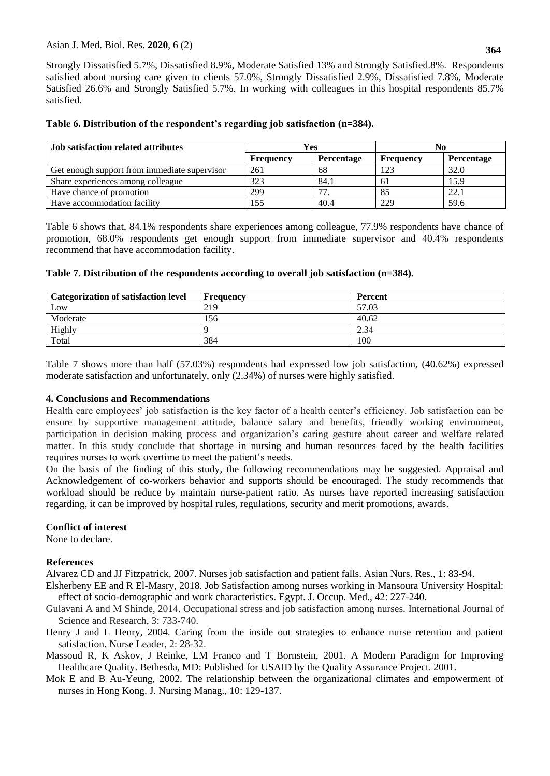#### Asian J. Med. Biol. Res. **2020**, 6 (2)

Strongly Dissatisfied 5.7%, Dissatisfied 8.9%, Moderate Satisfied 13% and Strongly Satisfied.8%. Respondents satisfied about nursing care given to clients 57.0%, Strongly Dissatisfied 2.9%, Dissatisfied 7.8%, Moderate Satisfied 26.6% and Strongly Satisfied 5.7%. In working with colleagues in this hospital respondents 85.7% satisfied.

#### **Table 6. Distribution of the respondent's regarding job satisfaction (n=384).**

| <b>Job satisfaction related attributes</b>   | Yes       |                          | No               |            |
|----------------------------------------------|-----------|--------------------------|------------------|------------|
|                                              | Frequency | <b>Percentage</b>        | <b>Frequency</b> | Percentage |
| Get enough support from immediate supervisor | 261       | -68                      | 123              | 32.0       |
| Share experiences among colleague            | 323       | 84.1                     | 61               | 15.9       |
| Have chance of promotion                     | 299       | $\overline{\phantom{a}}$ | 85               | 22.1       |
| Have accommodation facility                  | 55ء       | 40.4                     | 229              | 59.6       |

Table 6 shows that, 84.1% respondents share experiences among colleague, 77.9% respondents have chance of promotion, 68.0% respondents get enough support from immediate supervisor and 40.4% respondents recommend that have accommodation facility.

#### **Table 7. Distribution of the respondents according to overall job satisfaction (n=384).**

| Categorization of satisfaction level | Frequency | Percent |
|--------------------------------------|-----------|---------|
| Low                                  | 219       | 57.03   |
| Moderate                             | 156       | 40.62   |
| Highly                               |           | 2.34    |
| Total                                | 384       | 100     |

Table 7 shows more than half (57.03%) respondents had expressed low job satisfaction, (40.62%) expressed moderate satisfaction and unfortunately, only (2.34%) of nurses were highly satisfied.

#### **4. Conclusions and Recommendations**

Health care employees' job satisfaction is the key factor of a health center's efficiency. Job satisfaction can be ensure by supportive management attitude, balance salary and benefits, friendly working environment, participation in decision making process and organization's caring gesture about career and welfare related matter. In this study conclude that shortage in nursing and human resources faced by the health facilities requires nurses to work overtime to meet the patient's needs.

On the basis of the finding of this study, the following recommendations may be suggested. Appraisal and Acknowledgement of co-workers behavior and supports should be encouraged. The study recommends that workload should be reduce by maintain nurse-patient ratio. As nurses have reported increasing satisfaction regarding, it can be improved by hospital rules, regulations, security and merit promotions, awards.

#### **Conflict of interest**

None to declare.

#### **References**

Alvarez CD and JJ Fitzpatrick, 2007. Nurses job satisfaction and patient falls. Asian Nurs. Res., 1: 83-94.

- Elsherbeny EE and R El-Masry, 2018. Job Satisfaction among nurses working in Mansoura University Hospital: effect of socio-demographic and work characteristics. Egypt. J. Occup. Med., 42: 227-240.
- Gulavani A and M Shinde, 2014. Occupational stress and job satisfaction among nurses. International Journal of Science and Research, 3: 733-740.
- Henry J and L Henry, 2004. Caring from the inside out strategies to enhance nurse retention and patient satisfaction. Nurse Leader, 2: 28-32.
- Massoud R, K Askov, J Reinke, LM Franco and T Bornstein, 2001. A Modern Paradigm for Improving Healthcare Quality. Bethesda, MD: Published for USAID by the Quality Assurance Project. 2001.
- Mok E and B Au-Yeung, 2002. The relationship between the organizational climates and empowerment of nurses in Hong Kong. J. Nursing Manag., 10: 129-137.